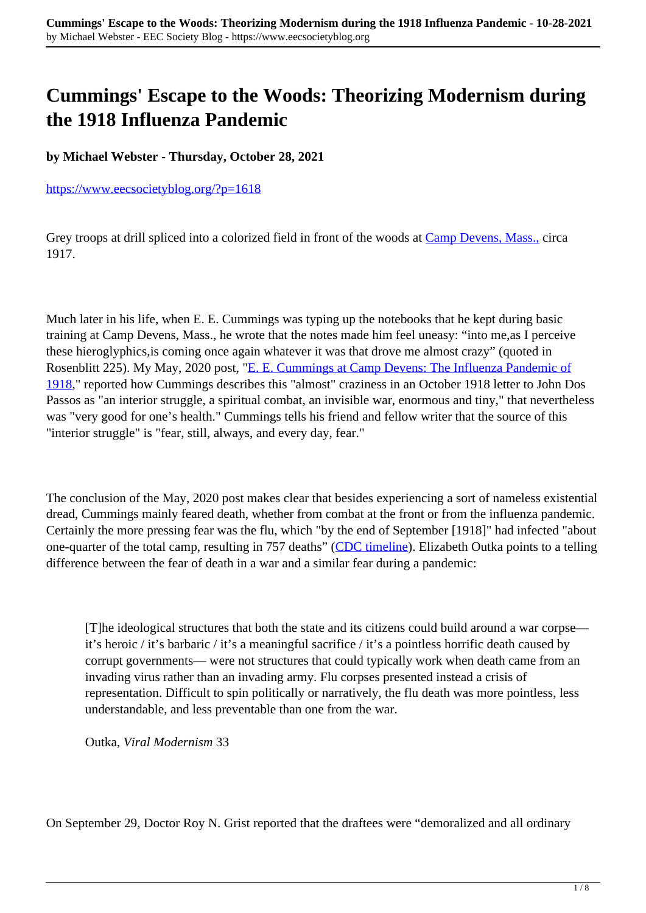## **Cummings' Escape to the Woods: Theorizing Modernism during the 1918 Influenza Pandemic**

**by Michael Webster - Thursday, October 28, 2021**

<https://www.eecsocietyblog.org/?p=1618>

Grey troops at drill spliced into a colorized field in front of the woods at Camp Devens, Mass., circa 1917.

Much later in his life, when E. E. Cummings was typing up the notebooks that he kept during basic training at Camp Devens, Mass., he wrote that the notes made him feel uneasy: "into me,as I perceive these hieroglyphics,is coming once again whatever it was that drove me almost crazy" (quoted in Rosenblitt 225). My May, 2020 post, "E. E. Cummings at Camp Devens: The Influenza Pandemic of 1918," reported how Cummings describes this "almost" craziness in an October 1918 letter to John Dos Passos as "an interior struggle, a spiritual combat, an invisible war, enormous and tiny," that nevertheless was "very good for one's health." Cummings tells his friend and fellow writer that the source of this "interior struggle" is "fear, still, always, and every day, fear."

The conclusion of the May, 2020 post makes clear that besides experiencing a sort of nameless existential dread, Cummings mainly feared death, whether from combat at the front or from the influenza pandemic. Certainly the more pressing fear was the flu, which "by the end of September [1918]" had infected "about one-quarter of the total camp, resulting in 757 deaths" (CDC timeline). Elizabeth Outka points to a telling difference between the fear of death in a war and a similar fear during a pandemic:

[T]he ideological structures that both the state and its citizens could build around a war corpse it's heroic / it's barbaric / it's a meaningful sacrifice / it's a pointless horrific death caused by corrupt governments— were not structures that could typically work when death came from an invading virus rather than an invading army. Flu corpses presented instead a crisis of representation. Difficult to spin politically or narratively, the flu death was more pointless, less understandable, and less preventable than one from the war.

Outka, *Viral Modernism* 33

On September 29, Doctor Roy N. Grist reported that the draftees were "demoralized and all ordinary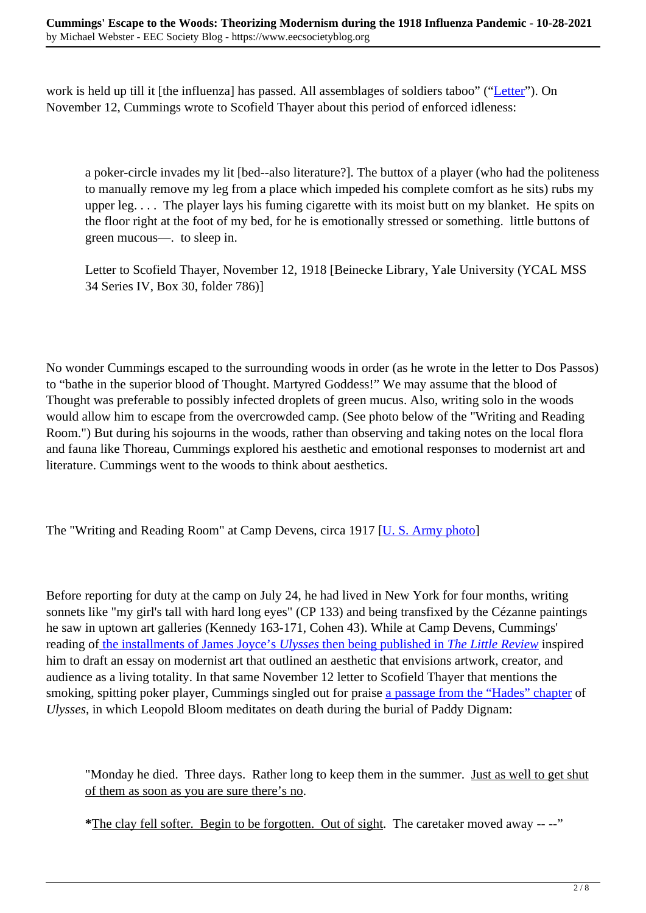work is held up till it [the influenza] has passed. All assemblages of soldiers taboo" ("Letter"). On November 12, Cummings wrote to Scofield Thayer about this period of enforced idleness:

a poker-circle invades my lit [bed--also literature?]. The buttox of a player (who had the politeness to manually remove my leg from a place which impeded his complete comfort as he sits) rubs my upper leg. . . . The player lays his fuming cigarette with its moist butt on my blanket. He spits on the floor right at the foot of my bed, for he is emotionally stressed or something. little buttons of green mucous—. to sleep in.

Letter to Scofield Thayer, November 12, 1918 [Beinecke Library, Yale University (YCAL MSS 34 Series IV, Box 30, folder 786)]

No wonder Cummings escaped to the surrounding woods in order (as he wrote in the letter to Dos Passos) to "bathe in the superior blood of Thought. Martyred Goddess!" We may assume that the blood of Thought was preferable to possibly infected droplets of green mucus. Also, writing solo in the woods would allow him to escape from the overcrowded camp. (See photo below of the "Writing and Reading Room.") But during his sojourns in the woods, rather than observing and taking notes on the local flora and fauna like Thoreau, Cummings explored his aesthetic and emotional responses to modernist art and literature. Cummings went to the woods to think about aesthetics.

The "Writing and Reading Room" at Camp Devens, circa 1917 [U. S. Army photo]

Before reporting for duty at the camp on July 24, he had lived in New York for four months, writing sonnets like "my girl's tall with hard long eyes" (CP 133) and being transfixed by the Cézanne paintings he saw in uptown art galleries (Kennedy 163-171, Cohen 43). While at Camp Devens, Cummings' reading of the installments of James Joyce's *Ulysses* then being published in *The Little Review* inspired him to draft an essay on modernist art that outlined an aesthetic that envisions artwork, creator, and audience as a living totality. In that same November 12 letter to Scofield Thayer that mentions the smoking, spitting poker player, Cummings singled out for praise a passage from the "Hades" chapter of *Ulysses*, in which Leopold Bloom meditates on death during the burial of Paddy Dignam:

"Monday he died. Three days. Rather long to keep them in the summer. Just as well to get shut of them as soon as you are sure there's no.

**\***The clay fell softer. Begin to be forgotten. Out of sight. The caretaker moved away -- --"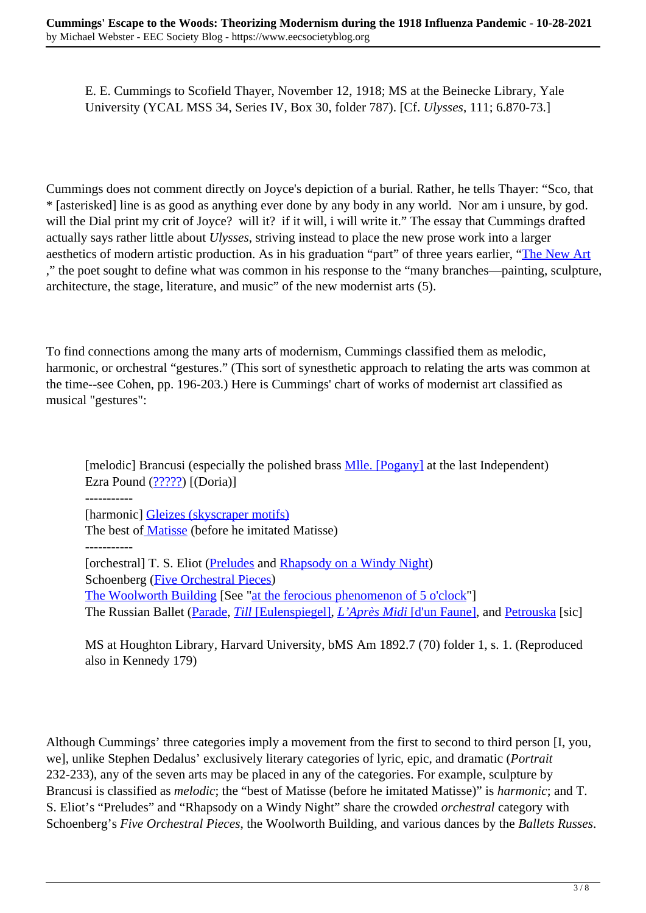E. E. Cummings to Scofield Thayer, November 12, 1918; MS at the Beinecke Library, Yale University (YCAL MSS 34, Series IV, Box 30, folder 787). [Cf. *Ulysses*, 111; 6.870-73.]

Cummings does not comment directly on Joyce's depiction of a burial. Rather, he tells Thayer: "Sco, that \* [asterisked] line is as good as anything ever done by any body in any world. Nor am i unsure, by god. will the Dial print my crit of Joyce? will it? if it will, i will write it." The essay that Cummings drafted actually says rather little about *Ulysses*, striving instead to place the new prose work into a larger aesthetics of modern artistic production. As in his graduation "part" of three years earlier, "The New Art ," the poet sought to define what was common in his response to the "many branches—painting, sculpture, architecture, the stage, literature, and music" of the new modernist arts (5).

To find connections among the many arts of modernism, Cummings classified them as melodic, harmonic, or orchestral "gestures." (This sort of synesthetic approach to relating the arts was common at the time--see Cohen, pp. 196-203.) Here is Cummings' chart of works of modernist art classified as musical "gestures":

[melodic] Brancusi (especially the polished brass **Mlle.** [Pogany] at the last Independent) Ezra Pound  $(2222)$  [(Doria)]

-----------

[harmonic] Gleizes (skyscraper motifs)

The best of **Matisse** (before he imitated Matisse)

-----------

[orchestral] T. S. Eliot (Preludes and Rhapsody on a Windy Night) Schoenberg (Five Orchestral Pieces) The Woolworth Building [See "at the ferocious phenomenon of 5 o'clock"] The Russian Ballet (Parade, *Till* [Eulenspiegel], *L'Après Midi* [d'un Faune], and Petrouska [sic]

MS at Houghton Library, Harvard University, bMS Am 1892.7 (70) folder 1, s. 1. (Reproduced also in Kennedy 179)

Although Cummings' three categories imply a movement from the first to second to third person [I, you, we], unlike Stephen Dedalus' exclusively literary categories of lyric, epic, and dramatic (*Portrait* 232-233), any of the seven arts may be placed in any of the categories. For example, sculpture by Brancusi is classified as *melodic*; the "best of Matisse (before he imitated Matisse)" is *harmonic*; and T. S. Eliot's "Preludes" and "Rhapsody on a Windy Night" share the crowded *orchestral* category with Schoenberg's *Five Orchestral Pieces*, the Woolworth Building, and various dances by the *Ballets Russes*.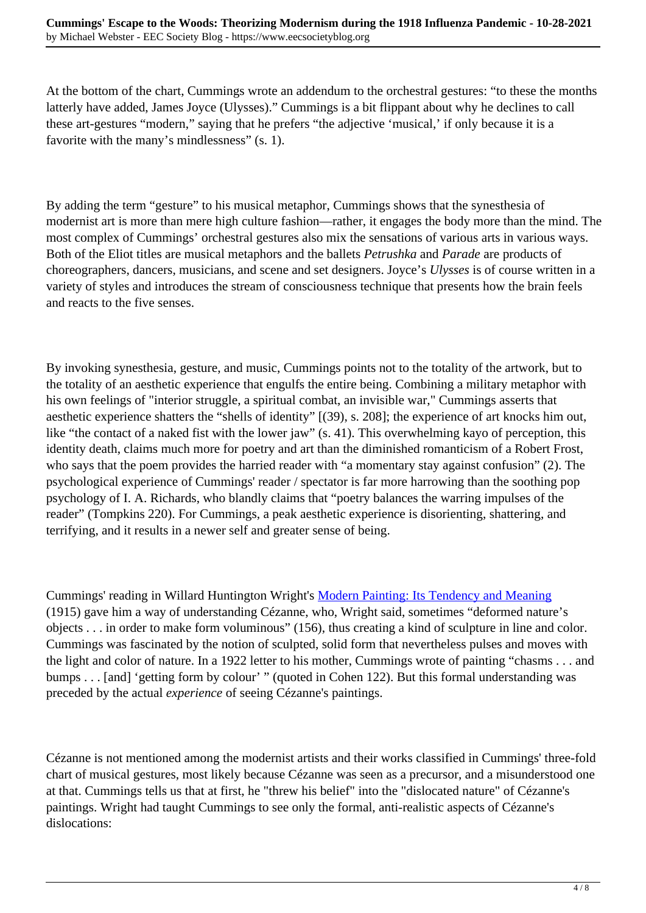At the bottom of the chart, Cummings wrote an addendum to the orchestral gestures: "to these the months latterly have added, James Joyce (Ulysses)." Cummings is a bit flippant about why he declines to call these art-gestures "modern," saying that he prefers "the adjective 'musical,' if only because it is a favorite with the many's mindlessness" (s. 1).

By adding the term "gesture" to his musical metaphor, Cummings shows that the synesthesia of modernist art is more than mere high culture fashion—rather, it engages the body more than the mind. The most complex of Cummings' orchestral gestures also mix the sensations of various arts in various ways. Both of the Eliot titles are musical metaphors and the ballets *Petrushka* and *Parade* are products of choreographers, dancers, musicians, and scene and set designers. Joyce's *Ulysses* is of course written in a variety of styles and introduces the stream of consciousness technique that presents how the brain feels and reacts to the five senses.

By invoking synesthesia, gesture, and music, Cummings points not to the totality of the artwork, but to the totality of an aesthetic experience that engulfs the entire being. Combining a military metaphor with his own feelings of "interior struggle, a spiritual combat, an invisible war," Cummings asserts that aesthetic experience shatters the "shells of identity" [(39), s. 208]; the experience of art knocks him out, like "the contact of a naked fist with the lower jaw" (s. 41). This overwhelming kayo of perception, this identity death, claims much more for poetry and art than the diminished romanticism of a Robert Frost, who says that the poem provides the harried reader with "a momentary stay against confusion" (2). The psychological experience of Cummings' reader / spectator is far more harrowing than the soothing pop psychology of I. A. Richards, who blandly claims that "poetry balances the warring impulses of the reader" (Tompkins 220). For Cummings, a peak aesthetic experience is disorienting, shattering, and terrifying, and it results in a newer self and greater sense of being.

Cummings' reading in Willard Huntington Wright's Modern Painting: Its Tendency and Meaning (1915) gave him a way of understanding Cézanne, who, Wright said, sometimes "deformed nature's objects . . . in order to make form voluminous" (156), thus creating a kind of sculpture in line and color. Cummings was fascinated by the notion of sculpted, solid form that nevertheless pulses and moves with the light and color of nature. In a 1922 letter to his mother, Cummings wrote of painting "chasms . . . and bumps . . . [and] 'getting form by colour' " (quoted in Cohen 122). But this formal understanding was preceded by the actual *experience* of seeing Cézanne's paintings.

Cézanne is not mentioned among the modernist artists and their works classified in Cummings' three-fold chart of musical gestures, most likely because Cézanne was seen as a precursor, and a misunderstood one at that. Cummings tells us that at first, he "threw his belief" into the "dislocated nature" of Cézanne's paintings. Wright had taught Cummings to see only the formal, anti-realistic aspects of Cézanne's dislocations: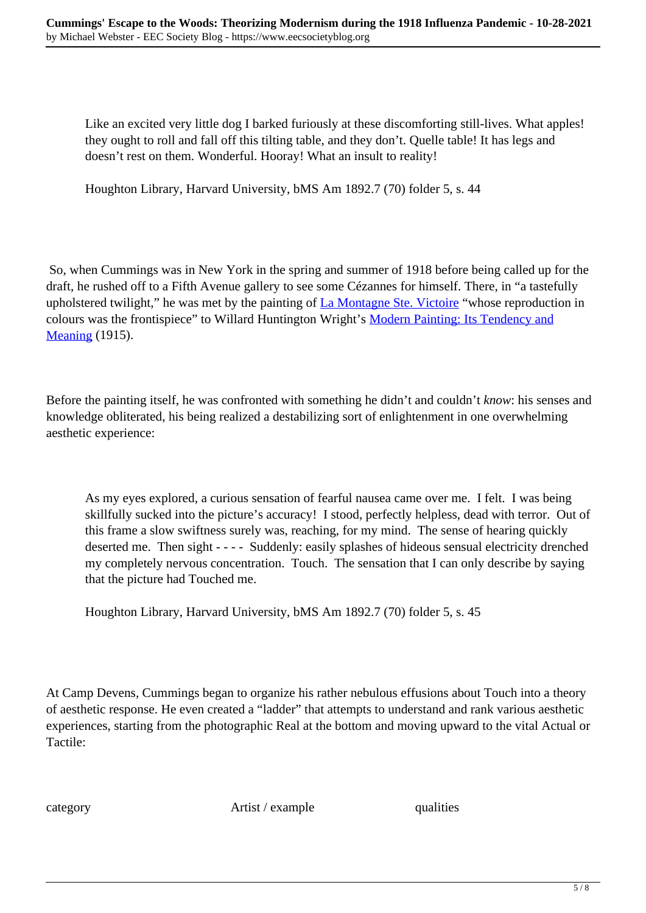Like an excited very little dog I barked furiously at these discomforting still-lives. What apples! they ought to roll and fall off this tilting table, and they don't. Quelle table! It has legs and doesn't rest on them. Wonderful. Hooray! What an insult to reality!

Houghton Library, Harvard University, bMS Am 1892.7 (70) folder 5, s. 44

 So, when Cummings was in New York in the spring and summer of 1918 before being called up for the draft, he rushed off to a Fifth Avenue gallery to see some Cézannes for himself. There, in "a tastefully upholstered twilight," he was met by the painting of La Montagne Ste. Victoire "whose reproduction in colours was the frontispiece" to Willard Huntington Wright's Modern Painting: Its Tendency and **Meaning** (1915).

Before the painting itself, he was confronted with something he didn't and couldn't *know*: his senses and knowledge obliterated, his being realized a destabilizing sort of enlightenment in one overwhelming aesthetic experience:

As my eyes explored, a curious sensation of fearful nausea came over me. I felt. I was being skillfully sucked into the picture's accuracy! I stood, perfectly helpless, dead with terror. Out of this frame a slow swiftness surely was, reaching, for my mind. The sense of hearing quickly deserted me. Then sight - - - - Suddenly: easily splashes of hideous sensual electricity drenched my completely nervous concentration. Touch. The sensation that I can only describe by saying that the picture had Touched me.

Houghton Library, Harvard University, bMS Am 1892.7 (70) folder 5, s. 45

At Camp Devens, Cummings began to organize his rather nebulous effusions about Touch into a theory of aesthetic response. He even created a "ladder" that attempts to understand and rank various aesthetic experiences, starting from the photographic Real at the bottom and moving upward to the vital Actual or Tactile:

category **Artist** / example qualities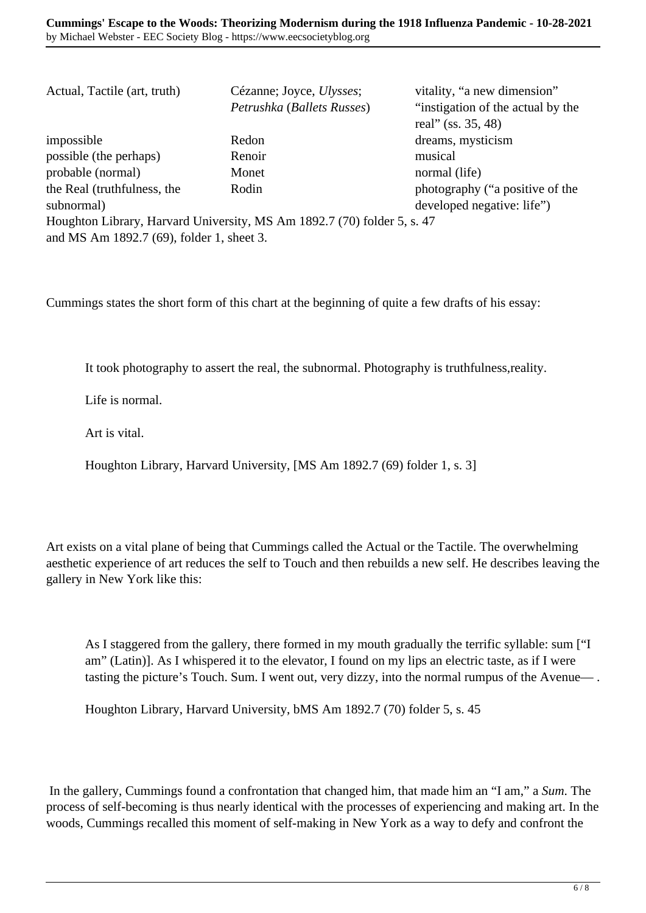| Actual, Tactile (art, truth)              | Cézanne; Joyce, <i>Ulysses</i> ;                                        | vitality, "a new dimension"       |
|-------------------------------------------|-------------------------------------------------------------------------|-----------------------------------|
|                                           | Petrushka (Ballets Russes)                                              | "instigation of the actual by the |
|                                           |                                                                         | real" (ss. 35, 48)                |
| impossible                                | Redon                                                                   | dreams, mysticism                 |
| possible (the perhaps)                    | Renoir                                                                  | musical                           |
| probable (normal)                         | Monet                                                                   | normal (life)                     |
| the Real (truthfulness, the               | Rodin                                                                   | photography ("a positive of the   |
| subnormal)                                |                                                                         | developed negative: life")        |
|                                           | Houghton Library, Harvard University, MS Am 1892.7 (70) folder 5, s. 47 |                                   |
| and MS Am 1892.7 (69), folder 1, sheet 3. |                                                                         |                                   |

Cummings states the short form of this chart at the beginning of quite a few drafts of his essay:

It took photography to assert the real, the subnormal. Photography is truthfulness,reality.

Life is normal.

Art is vital.

Houghton Library, Harvard University, [MS Am 1892.7 (69) folder 1, s. 3]

Art exists on a vital plane of being that Cummings called the Actual or the Tactile. The overwhelming aesthetic experience of art reduces the self to Touch and then rebuilds a new self. He describes leaving the gallery in New York like this:

As I staggered from the gallery, there formed in my mouth gradually the terrific syllable: sum ["I am" (Latin)]. As I whispered it to the elevator, I found on my lips an electric taste, as if I were tasting the picture's Touch. Sum. I went out, very dizzy, into the normal rumpus of the Avenue— .

Houghton Library, Harvard University, bMS Am 1892.7 (70) folder 5, s. 45

 In the gallery, Cummings found a confrontation that changed him, that made him an "I am," a *Sum*. The process of self-becoming is thus nearly identical with the processes of experiencing and making art. In the woods, Cummings recalled this moment of self-making in New York as a way to defy and confront the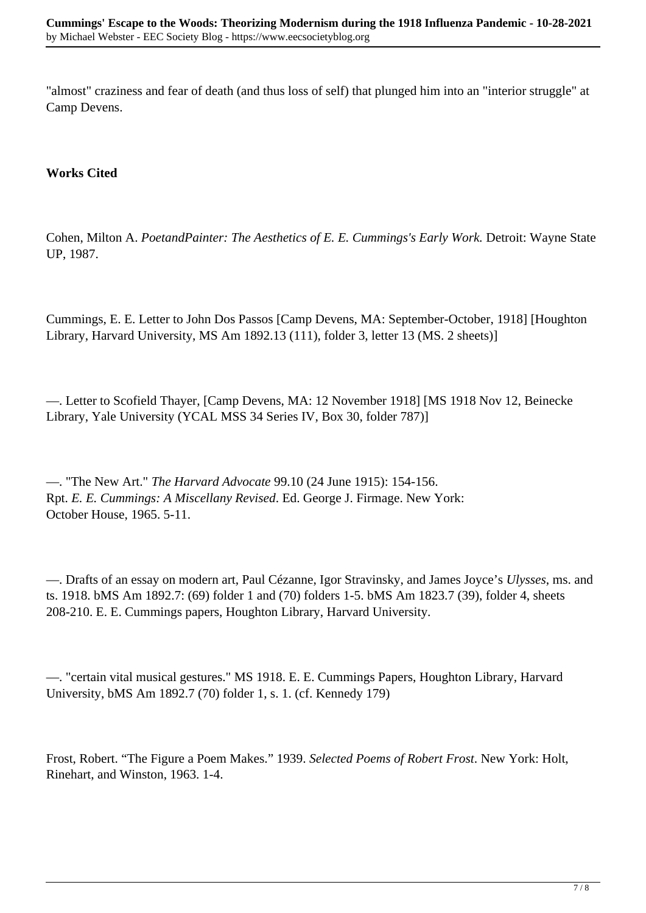"almost" craziness and fear of death (and thus loss of self) that plunged him into an "interior struggle" at Camp Devens.

## **Works Cited**

Cohen, Milton A. *PoetandPainter: The Aesthetics of E. E. Cummings's Early Work.* Detroit: Wayne State UP, 1987.

Cummings, E. E. Letter to John Dos Passos [Camp Devens, MA: September-October, 1918] [Houghton Library, Harvard University, MS Am 1892.13 (111), folder 3, letter 13 (MS. 2 sheets)]

—. Letter to Scofield Thayer, [Camp Devens, MA: 12 November 1918] [MS 1918 Nov 12, Beinecke Library, Yale University (YCAL MSS 34 Series IV, Box 30, folder 787)]

—. "The New Art." *The Harvard Advocate* 99.10 (24 June 1915): 154-156. Rpt. *E. E. Cummings: A Miscellany Revised*. Ed. George J. Firmage. New York: October House, 1965. 5-11.

—. Drafts of an essay on modern art, Paul Cézanne, Igor Stravinsky, and James Joyce's *Ulysses*, ms. and ts. 1918. bMS Am 1892.7: (69) folder 1 and (70) folders 1-5. bMS Am 1823.7 (39), folder 4, sheets 208-210. E. E. Cummings papers, Houghton Library, Harvard University.

—. "certain vital musical gestures." MS 1918. E. E. Cummings Papers, Houghton Library, Harvard University, bMS Am 1892.7 (70) folder 1, s. 1. (cf. Kennedy 179)

Frost, Robert. "The Figure a Poem Makes." 1939. *Selected Poems of Robert Frost*. New York: Holt, Rinehart, and Winston, 1963. 1-4.